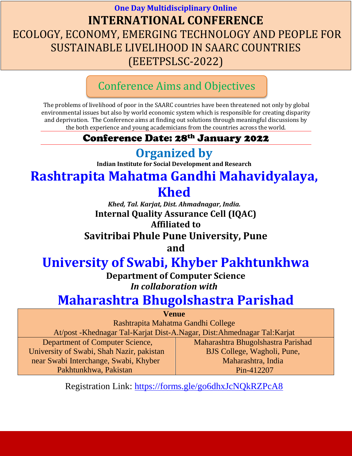### **One Day Multidisciplinary Online INTERNATIONAL CONFERENCE** ECOLOGY, ECONOMY, EMERGING TECHNOLOGY AND PEOPLE FOR SUSTAINABLE LIVELIHOOD IN SAARC COUNTRIES (EEETPSLSC-2022)

### Conference Aims and Objectives

The problems of livelihood of poor in the SAARC countries have been threatened not only by global environmental issues but also by world economic system which is responsible for creating disparity and deprivation. The Conference aims at finding out solutions through meaningful discussions by the both experience and young academicians from the countries across the world.

### Conference Date: 28th January 2022

## **Organized by**

**Indian Institute for Social Development and Research**

# **Rashtrapita Mahatma Gandhi Mahavidyalaya,**

## **Khed**

*Khed, Tal. Karjat, Dist. Ahmadnagar, India.* **Internal Quality Assurance Cell (IQAC) Affiliated to**

### **Savitribai Phule Pune University, Pune**

**and**

## **[University of Swabi, Khyber Pakhtunkhwa](Oceanography%20and%20Space%20Informatics,%20China%20University%20of%20Petroleum)**

**Department of Computer Science** *In collaboration with*

## **Maharashtra Bhugolshastra Parishad**

| <b>Venue</b>                                                              |                                    |  |
|---------------------------------------------------------------------------|------------------------------------|--|
| Rashtrapita Mahatma Gandhi College                                        |                                    |  |
| At/post - Khednagar Tal-Karjat Dist-A.Nagar, Dist: Ahmednagar Tal: Karjat |                                    |  |
| Department of Computer Science,                                           | Maharashtra Bhugolshastra Parishad |  |
| University of Swabi, Shah Nazir, pakistan                                 | BJS College, Wagholi, Pune,        |  |
| near Swabi Interchange, Swabi, Khyber                                     | Maharashtra, India                 |  |
| Pakhtunkhwa, Pakistan                                                     | Pin-412207                         |  |

Registration Link:<https://forms.gle/go6dhxJcNQkRZPcA8>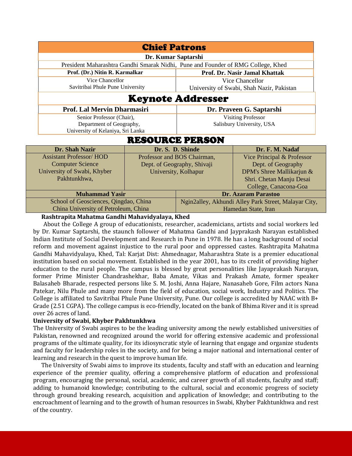| <b>Chief Patrons</b>                                                             |                             |                                                      |                                           |  |
|----------------------------------------------------------------------------------|-----------------------------|------------------------------------------------------|-------------------------------------------|--|
| Dr. Kumar Saptarshi                                                              |                             |                                                      |                                           |  |
| President Maharashtra Gandhi Smarak Nidhi, Pune and Founder of RMG College, Khed |                             |                                                      |                                           |  |
| Prof. (Dr.) Nitin R. Karmalkar                                                   |                             |                                                      | Prof. Dr. Nasir Jamal Khattak             |  |
| Vice Chancellor                                                                  |                             |                                                      | Vice Chancellor                           |  |
| Savitribai Phule Pune University                                                 |                             |                                                      | University of Swabi, Shah Nazir, Pakistan |  |
| <b>Keynote Addresser</b>                                                         |                             |                                                      |                                           |  |
| Prof. Lal Mervin Dharmasiri                                                      |                             |                                                      | Dr. Praveen G. Saptarshi                  |  |
| Senior Professor (Chair),                                                        |                             |                                                      | <b>Visiting Professor</b>                 |  |
| Department of Geography,                                                         |                             | Salisbury University, USA                            |                                           |  |
| University of Kelaniya, Sri Lanka                                                |                             |                                                      |                                           |  |
| <b>RESOURCE PERSON</b>                                                           |                             |                                                      |                                           |  |
| Dr. Shah Nazir                                                                   |                             | Dr. S. D. Shinde                                     | Dr. F. M. Nadaf                           |  |
| <b>Assistant Professor/HOD</b>                                                   |                             | Professor and BOS Chairman,                          | Vice Principal & Professor                |  |
| <b>Computer Science</b>                                                          | Dept. of Geography, Shivaji |                                                      | Dept. of Geography                        |  |
| University of Swabi, Khyber                                                      | University, Kolhapur        |                                                      | DPM's Shree Mallikarjun &                 |  |
| Pakhtunkhwa,                                                                     |                             |                                                      | Shri. Chetan Manju Desai                  |  |
|                                                                                  |                             |                                                      | College, Canacona-Goa                     |  |
| <b>Muhammad Yasir</b>                                                            |                             | <b>Dr. Azaram Parastoo</b>                           |                                           |  |
| School of Geosciences, Qingdao, China                                            |                             | Ngin2alley, Akhundi Alley Park Street, Malayar City, |                                           |  |
| China University of Petroleum, China                                             |                             | Hamedan State, Iran                                  |                                           |  |

**Rashtrapita Mahatma Gandhi Mahavidyalaya, Khed**

About the College A group of educationists, researcher, academicians, artists and social workers led by Dr. Kumar Saptarshi, the staunch follower of Mahatma Gandhi and Jayprakash Narayan established Indian Institute of Social Development and Research in Pune in 1978. He has a long background of social reform and movement against injustice to the rural poor and oppressed castes. Rashtrapita Mahatma Gandhi Mahavidyalaya, Khed, Tal: Karjat Dist: Ahmednagar, Maharashtra State is a premier educational institution based on social movement. Established in the year 2001, has to its credit of providing higher education to the rural people. The campus is blessed by great personalities like Jayaprakash Narayan, former Prime Minister Chandrashekhar, Baba Amate, Vikas and Prakash Amate, former speaker Balasaheb Bharade, respected persons like S. M. Joshi, Anna Hajare, Nanasaheb Gore, Film actors Nana Patekar, Nilu Phule and many more from the field of education, social work, Industry and Politics. The College is affiliated to Savitribai Phule Pune University, Pune. Our college is accredited by NAAC with B+ Grade (2.51 CGPA). The college campus is eco-friendly, located on the bank of Bhima River and it is spread over 26 acres of land.

#### **University of Swabi, Khyber Pakhtunkhwa**

The University of Swabi aspires to be the leading university among the newly established universities of Pakistan, renowned and recognized around the world for offering extensive academic and professional programs of the ultimate quality, for its idiosyncratic style of learning that engage and organize students and faculty for leadership roles in the society, and for being a major national and international center of learning and research in the quest to improve human life.

The University of Swabi aims to improve its students, faculty and staff with an education and learning experience of the premier quality, offering a comprehensive platform of education and professional program, encouraging the personal, social, academic, and career growth of all students, faculty and staff; adding to humanoid knowledge; contributing to the cultural, social and economic progress of society through ground breaking research, acquisition and application of knowledge; and contributing to the encroachment of learning and to the growth of human resources in Swabi, Khyber Pakhtunkhwa and rest of the country.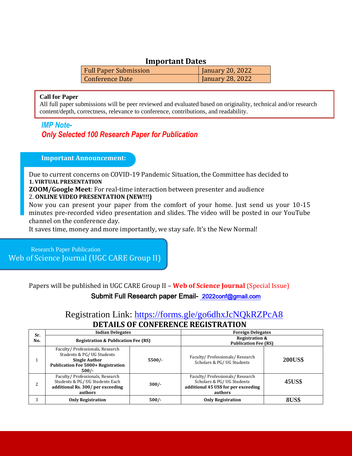#### **Important Dates**

| <b>Full Paper Submission</b> | January 20, 2022 |
|------------------------------|------------------|
| Conference Date              | January 28, 2022 |

#### **Call for Paper**

All full paper submissions will be peer reviewed and evaluated based on originality, technical and/or research content/depth, correctness, relevance to conference, contributions, and readability.

#### *IMP Note-Only Selected 100 Research Paper for Publication*

#### **Important Announcement:**

Due to current concerns on COVID-19 Pandemic Situation, the Committee has decided to **1. VIRTUAL PRESENTATION**

**ZOOM/Google Meet**: For real-time interaction between presenter and audience 2. **ONLINE VIDEO PRESENTATION (NEW!!!)**

Now you can present your paper from the comfort of your home. Just send us your 10-15 minutes pre-recorded video presentation and slides. The video will be posted in our YouTube channel on the conference day.

It saves time, money and more importantly, we stay safe. It's the New Normal!

 Research Paper Publication Web of Science Journal (UGC CARE Group II)

Papers will be published in UGC CARE Group II – **Web of Science Journal** (Special Issue)

#### Submit Full Research paper Email- [2022conf@gmail.com](mailto:2022conf@gmail.com)

### Registration Link:<https://forms.gle/go6dhxJcNQkRZPcA8> **DETAILS OF CONFERENCE REGISTRATION**

| Sr. | <b>Indian Delegates</b>                                                                                                                      |          | <b>Foreign Delegates</b>                                                                                       |                |
|-----|----------------------------------------------------------------------------------------------------------------------------------------------|----------|----------------------------------------------------------------------------------------------------------------|----------------|
| No. | <b>Registration &amp; Publication Fee (RS)</b>                                                                                               |          | <b>Registration &amp;</b><br><b>Publication Fee (RS)</b>                                                       |                |
|     | Faculty/Professionals, Research<br>Students & PG/UG Students<br><b>Single Author</b><br><b>Publication Fee 5000+ Registration</b><br>$500/-$ | $5500/-$ | Faculty/Professionals/Research<br>Scholars & PG/UG Students                                                    | <b>200US\$</b> |
|     | Faculty/Professionals, Research<br>Students & PG/ UG Students Each<br>additional Rs. 300/ per exceeding<br>authors                           | $300/-$  | Faculty/Professionals/Research<br>Scholars & PG/UG Students<br>additional 45 US\$ for per exceeding<br>authors | <b>45US\$</b>  |
| 3   | <b>Only Registration</b>                                                                                                                     | $500/-$  | <b>Only Registration</b>                                                                                       | <b>8US\$</b>   |
|     |                                                                                                                                              |          |                                                                                                                |                |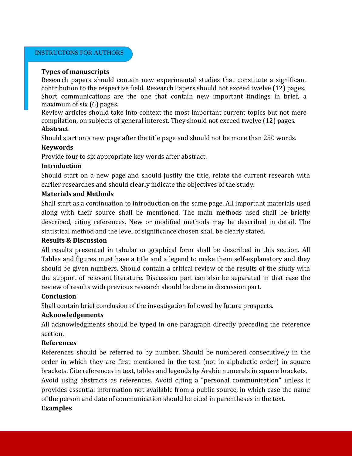#### INSTRUCTONS FOR AUTHORS

#### **Types of manuscripts**

Research papers should contain new experimental studies that constitute a significant contribution to the respective field. Research Papers should not exceed twelve (12) pages. Short communications are the one that contain new important findings in brief, a maximum of six (6) pages.

Review articles should take into context the most important current topics but not mere compilation, on subjects of general interest. They should not exceed twelve (12) pages.

#### **Abstract**

Should start on a new page after the title page and should not be more than 250 words.

#### **Keywords**

Provide four to six appropriate key words after abstract.

#### **Introduction**

Should start on a new page and should justify the title, relate the current research with earlier researches and should clearly indicate the objectives of the study.

#### **Materials and Methods**

Shall start as a continuation to introduction on the same page. All important materials used along with their source shall be mentioned. The main methods used shall be briefly described, citing references. New or modified methods may be described in detail. The statistical method and the level of significance chosen shall be clearly stated.

#### **Results & Discussion**

All results presented in tabular or graphical form shall be described in this section. All Tables and figures must have a title and a legend to make them self-explanatory and they should be given numbers. Should contain a critical review of the results of the study with the support of relevant literature. Discussion part can also be separated in that case the review of results with previous research should be done in discussion part.

#### **Conclusion**

Shall contain brief conclusion of the investigation followed by future prospects.

#### **Acknowledgements**

All acknowledgments should be typed in one paragraph directly preceding the reference section.

#### **References**

References should be referred to by number. Should be numbered consecutively in the order in which they are first mentioned in the text (not in-alphabetic-order) in square brackets. Cite references in text, tables and legends by Arabic numerals in square brackets.

Avoid using abstracts as references. Avoid citing a "personal communication" unless it provides essential information not available from a public source, in which case the name of the person and date of communication should be cited in parentheses in the text.

#### **Examples**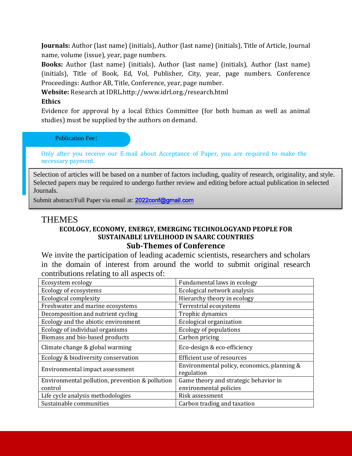**Journals:** Author (last name) (initials), Author (last name) (initials), Title of Article, Journal name, volume (issue), year, page numbers.

**Books:** Author (last name) (initials), Author (last name) (initials), Author (last name) (initials), Title of Book, Ed, Vol, Publisher, City, year, page numbers. Conference Proceedings: Author AB, Title, Conference, year, page number.

**Website:** Research at IDRL.http://www.idrl.org./research.html

#### **Ethics**

Evidence for approval by a local Ethics Committee (for both human as well as animal studies) must be supplied by the authors on demand.

#### Publication Fee:

Only after you receive our E-mail about Acceptance of Paper, you are required to make the necessary payment.

Selection of articles will be based on a number of factors including, quality of research, originality, and style. Selected papers may be required to undergo further review and editing before actual publication in selected Journals.

Submit abstract/Full Paper via email at: 2022conf@gmail.com

### **THEMES**

#### **ECOLOGY, ECONOMY, ENERGY, EMERGING TECHNOLOGYAND PEOPLE FOR SUSTAINABLE LIVELIHOOD IN SAARC COUNTRIES Sub-Themes of Conference**

We invite the participation of leading academic scientists, researchers and scholars in the domain of interest from around the world to submit original research contributions relating to all aspects of:

| Ecosystem ecology                               | Fundamental laws in ecology                               |
|-------------------------------------------------|-----------------------------------------------------------|
| Ecology of ecosystems                           | Ecological network analysis                               |
| <b>Ecological complexity</b>                    | Hierarchy theory in ecology                               |
| Freshwater and marine ecosystems                | Terrestrial ecosystems                                    |
| Decomposition and nutrient cycling              | Trophic dynamics                                          |
| Ecology and the abiotic environment             | Ecological organization                                   |
| Ecology of individual organisms                 | <b>Ecology of populations</b>                             |
| Biomass and bio-based products                  | Carbon pricing                                            |
| Climate change & global warming                 | Eco-design & eco-efficiency                               |
| Ecology & biodiversity conservation             | Efficient use of resources                                |
| Environmental impact assessment                 | Environmental policy, economics, planning &<br>regulation |
| Environmental pollution, prevention & pollution | Game theory and strategic behavior in                     |
| control                                         | environmental policies                                    |
| Life cycle analysis methodologies               | Risk assessment                                           |
| Sustainable communities                         | Carbon trading and taxation                               |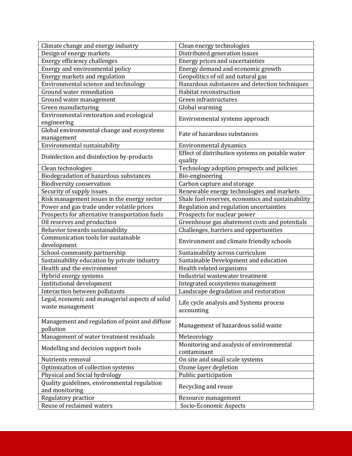| Climate change and energy industry              | Clean energy technologies                                                 |
|-------------------------------------------------|---------------------------------------------------------------------------|
| Design of energy markets                        | Distributed generation issues                                             |
| Energy efficiency challenges                    | Energy prices and uncertainties                                           |
| Energy and environmental policy                 | Energy demand and economic growth                                         |
| Energy markets and regulation                   | Geopolitics of oil and natural gas                                        |
| Environmental science and technology            | Hazardous substances and detection techniques                             |
| Ground water remediation                        | Habitat reconstruction                                                    |
| Ground water management                         | Green infrastructures                                                     |
| Green manufacturing                             | Global warming                                                            |
| Environmental restoration and ecological        |                                                                           |
| engineering                                     | Environmental systems approach                                            |
| Global environmental change and ecosystems      |                                                                           |
| management                                      | Fate of hazardous substances                                              |
| Environmental sustainability                    | Environmental dynamics                                                    |
|                                                 | Effect of distribution systems on potable water                           |
| Disinfection and disinfection by-products       | quality                                                                   |
| Clean technologies                              | Technology adoption prospects and policies                                |
| Biodegradation of hazardous substances          | Bio-engineering                                                           |
| <b>Biodiversity conservation</b>                | Carbon capture and storage                                                |
| Security of supply issues                       | Renewable energy technologies and markets                                 |
| Risk management issues in the energy sector     | Shale fuel reserves, economics and sustainability                         |
| Power and gas trade under volatile prices       | Regulation and regulation uncertainties                                   |
| Prospects for alternative transportation fuels  | Prospects for nuclear power                                               |
| Oil reserves and production                     | Greenhouse gas abatement costs and potentials                             |
| Behavior towards sustainability                 | Challenges, barriers and opportunities                                    |
| Communication tools for sustainable             |                                                                           |
| development                                     | Environment and climate friendly schools                                  |
| School-community partnership                    | Sustainability across curriculum                                          |
| Sustainability education by private industry    | Sustainable Development and education                                     |
| Health and the environment                      |                                                                           |
|                                                 | Health related organisms                                                  |
| Hybrid energy systems                           | Industrial wastewater treatment                                           |
| Institutional development                       |                                                                           |
| Interaction between pollutants                  | Integrated ecosystems management<br>Landscape degradation and restoration |
| Legal, economic and managerial aspects of solid |                                                                           |
| waste management                                | Life cycle analysis and Systems process                                   |
|                                                 | accounting                                                                |
| Management and regulation of point and diffuse  |                                                                           |
| pollution                                       | Management of hazardous solid waste                                       |
| Management of water treatment residuals         | Meteorology                                                               |
|                                                 | Monitoring and analysis of environmental                                  |
| Modelling and decision support tools            | contaminant                                                               |
| Nutrients removal                               | On site and small scale systems                                           |
| Optimization of collection systems              | Ozone layer depletion                                                     |
| Physical and Social hydrology                   | Public participation                                                      |
| Quality guidelines, environmental regulation    |                                                                           |
| and monitoring                                  | Recycling and reuse                                                       |
| Regulatory practice                             | Resource management                                                       |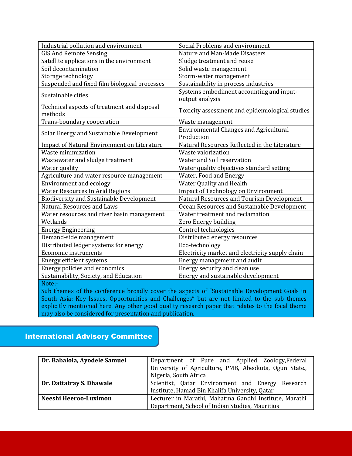| Industrial pollution and environment                   | Social Problems and environment                             |
|--------------------------------------------------------|-------------------------------------------------------------|
| <b>GIS And Remote Sensing</b>                          | Nature and Man-Made Disasters                               |
| Satellite applications in the environment              | Sludge treatment and reuse                                  |
| Soil decontamination                                   | Solid waste management                                      |
| Storage technology                                     | Storm-water management                                      |
| Suspended and fixed film biological processes          | Sustainability in process industries                        |
| Sustainable cities                                     | Systems embodiment accounting and input-<br>output analysis |
| Technical aspects of treatment and disposal<br>methods | Toxicity assessment and epidemiological studies             |
| Trans-boundary cooperation                             | Waste management                                            |
| Solar Energy and Sustainable Development               | <b>Environmental Changes and Agricultural</b><br>Production |
| Impact of Natural Environment on Literature            | Natural Resources Reflected in the Literature               |
| Waste minimization                                     | Waste valorization                                          |
| Wastewater and sludge treatment                        | Water and Soil reservation                                  |
| Water quality                                          | Water quality objectives standard setting                   |
| Agriculture and water resource management              | Water, Food and Energy                                      |
| Environment and ecology                                | Water Quality and Health                                    |
| <b>Water Resources In Arid Regions</b>                 | <b>Impact of Technology on Environment</b>                  |
| <b>Biodiversity and Sustainable Development</b>        | Natural Resources and Tourism Development                   |
| <b>Natural Resources and Laws</b>                      | Ocean Resources and Sustainable Development                 |
| Water resources and river basin management             | Water treatment and reclamation                             |
| Wetlands                                               | Zero Energy building                                        |
| <b>Energy Engineering</b>                              | Control technologies                                        |
| Demand-side management                                 | Distributed energy resources                                |
| Distributed ledger systems for energy                  | Eco-technology                                              |
| <b>Economic instruments</b>                            | Electricity market and electricity supply chain             |
| Energy efficient systems                               | Energy management and audit                                 |
| Energy policies and economics                          | Energy security and clean use                               |
| Sustainability, Society, and Education                 | Energy and sustainable development                          |

Note:

Sub themes of the conference broadly cover the aspects of "Sustainable Development Goals in South Asia: Key Issues, Opportunities and Challenges" but are not limited to the sub themes explicitly mentioned here. Any other good quality research paper that relates to the focal theme may also be considered for presentation and publication.

#### International Advisory Committee

| Dr. Babalola, Ayodele Samuel | Department of Pure and Applied Zoology, Federal        |
|------------------------------|--------------------------------------------------------|
|                              | University of Agriculture, PMB, Abeokuta, Ogun State., |
|                              | Nigeria, South Africa                                  |
| Dr. Dattatray S. Dhawale     | Scientist, Qatar Environment and Energy Research       |
|                              | Institute, Hamad Bin Khalifa University, Qatar         |
| Neeshi Heeroo-Luximon        | Lecturer in Marathi, Mahatma Gandhi Institute, Marathi |
|                              | Department, School of Indian Studies, Mauritius        |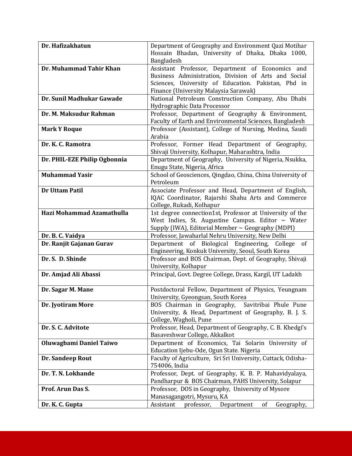| Dr. Hafizakhatun             | Department of Geography and Environment Qazi Motihar                                                      |
|------------------------------|-----------------------------------------------------------------------------------------------------------|
|                              | Hossain Bhadan, University of Dhaka, Dhaka 1000,                                                          |
|                              | Bangladesh                                                                                                |
| Dr. Muhammad Tahir Khan      | Assistant Professor, Department of Economics and                                                          |
|                              | Business Administration, Division of Arts and Social                                                      |
|                              | Sciences, University of Education. Pakistan, Phd in                                                       |
|                              | Finance (University Malaysia Sarawak)                                                                     |
| Dr. Sunil Madhukar Gawade    | National Petroleum Construction Company, Abu Dhabi                                                        |
|                              | Hydrographic Data Processor                                                                               |
| Dr. M. Maksudur Rahman       | Professor, Department of Geography & Environment,                                                         |
|                              | Faculty of Earth and Environmental Sciences, Bangladesh                                                   |
| <b>Mark Y Roque</b>          | Professor (Assistant), College of Nursing, Medina, Saudi                                                  |
|                              | Arabia                                                                                                    |
| Dr. K. C. Ramotra            | Professor, Former Head Department of Geography,                                                           |
|                              | Shivaji University, Kolhapur, Maharashtra, India                                                          |
| Dr. PHIL-EZE Philip Ogbonnia | Department of Geography, University of Nigeria, Nsukka,                                                   |
|                              | Enugu State, Nigeria, Africa                                                                              |
| <b>Muhammad Yasir</b>        | School of Geosciences, Qingdao, China, China University of                                                |
|                              | Petroleum                                                                                                 |
| <b>Dr Uttam Patil</b>        | Associate Professor and Head, Department of English,                                                      |
|                              | IQAC Coordinator, Rajarshi Shahu Arts and Commerce                                                        |
|                              | College, Rukadi, Kolhapur                                                                                 |
| Hazi Mohammad Azamathulla    | 1st degree connection1st, Professor at University of the                                                  |
|                              | West Indies, St. Augustine Campus. Editor $\sim$ Water                                                    |
|                              | Supply (IWA), Editorial Member $\sim$ Geography (MDPI)                                                    |
| Dr. B. C. Vaidya             | Professor, Jawaharlal Nehru University, New Delhi                                                         |
| Dr. Ranjit Gajanan Gurav     | Department of Biological Engineering, College<br>of                                                       |
|                              | Engineering, Konkuk University, Seoul, South Korea                                                        |
| Dr. S. D. Shinde             | Professor and BOS Chairman, Dept. of Geography, Shivaji                                                   |
|                              | University, Kolhapur                                                                                      |
| Dr. Amjad Ali Abassi         | Principal, Govt. Degree College, Drass, Kargil, UT Ladakh                                                 |
|                              |                                                                                                           |
| Dr. Sagar M. Mane            | Postdoctoral Fellow, Department of Physics, Yeungnam                                                      |
|                              | University, Gyeongsan, South Korea                                                                        |
| Dr. Jyotiram More            | BOS Chairman in Geography, Savitribai Phule Pune<br>University, & Head, Department of Geography, B. J. S. |
|                              |                                                                                                           |
| Dr. S. C. Advitote           | College, Wagholi, Pune<br>Professor, Head, Department of Geography, C. B. Khedgi's                        |
|                              | Basaveshwar College, Akkalkot                                                                             |
| Oluwagbami Daniel Taiwo      | Department of Economics, Tai Solarin University of                                                        |
|                              |                                                                                                           |
| Dr. Sandeep Rout             | Education Ijebu-Ode, Ogun State. Nigeria<br>Faculty of Agriculture, Sri Sri University, Cuttack, Odisha-  |
|                              | 754006, India                                                                                             |
| Dr. T. N. Lokhande           | Professor, Dept. of Geography, K. B. P. Mahavidyalaya,                                                    |
|                              | Pandharpur & BOS Chairman, PAHS University, Solapur                                                       |
| Prof. Arun Das S.            | Professor, DOS in Geography, University of Mysore                                                         |
|                              | Manasagangotri, Mysuru, KA                                                                                |
| Dr. K. C. Gupta              | Assistant<br>professor,<br>Department<br>Geography,<br>of                                                 |
|                              |                                                                                                           |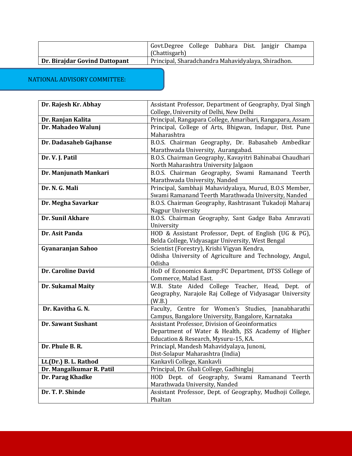|                               | Govt.Degree College Dabhara Dist. Janigir Champa   |  |  |  |
|-------------------------------|----------------------------------------------------|--|--|--|
|                               | (Chattisgarh)                                      |  |  |  |
| Dr. Birajdar Govind Dattopant | Principal, Sharadchandra Mahavidyalaya, Shiradhon. |  |  |  |

NATIONAL ADVISORY COMMITTEE:

| Dr. Rajesh Kr. Abhay      | Assistant Professor, Department of Geography, Dyal Singh                                   |  |
|---------------------------|--------------------------------------------------------------------------------------------|--|
|                           | College, University of Delhi, New Delhi                                                    |  |
| Dr. Ranjan Kalita         | Principal, Rangapara College, Amaribari, Rangapara, Assam                                  |  |
| Dr. Mahadeo Walunj        | Principal, College of Arts, Bhigwan, Indapur, Dist. Pune                                   |  |
|                           | Maharashtra                                                                                |  |
| Dr. Dadasaheb Gajhanse    | B.O.S. Chairman Geography, Dr. Babasaheb Ambedkar                                          |  |
|                           | Marathwada University, Aurangabad.                                                         |  |
| Dr. V. J. Patil           | B.O.S. Chairman Geography, Kavayitri Bahinabai Chaudhari                                   |  |
|                           | North Maharashtra University Jalgaon                                                       |  |
| Dr. Manjunath Mankari     | B.O.S. Chairman Geography, Swami Ramanand Teerth                                           |  |
|                           | Marathwada University, Nanded                                                              |  |
| Dr. N. G. Mali            | Principal, Sambhaji Mahavidyalaya, Murud, B.O.S Member,                                    |  |
|                           | Swami Ramanand Teerth Marathwada University, Nanded                                        |  |
| Dr. Megha Savarkar        | B.O.S. Chairman Geography, Rashtrasant Tukadoji Maharaj                                    |  |
|                           | Nagpur University                                                                          |  |
| Dr. Sunil Akhare          | B.O.S. Chairman Geography, Sant Gadge Baba Amravati                                        |  |
|                           | University                                                                                 |  |
| Dr. Asit Panda            | HOD & Assistant Professor, Dept. of English (UG & PG),                                     |  |
|                           | Belda College, Vidyasagar University, West Bengal                                          |  |
| Gyanaranjan Sahoo         | Scientist (Forestry), Krishi Vigyan Kendra,                                                |  |
|                           | Odisha University of Agriculture and Technology, Angul,                                    |  |
|                           | Odisha                                                                                     |  |
| Dr. Caroline David        | HoD of Economics &:FC Department, DTSS College of                                          |  |
|                           | Commerce, Malad East.                                                                      |  |
| <b>Dr. Sukamal Maity</b>  | W.B. State Aided College Teacher, Head, Dept. of                                           |  |
|                           | Geography, Narajole Raj College of Vidyasagar University                                   |  |
|                           | (W.B.)                                                                                     |  |
| Dr. Kavitha G. N.         | Faculty, Centre for Women's Studies, Jnanabharathi                                         |  |
|                           | Campus, Bangalore University, Bangalore, Karnataka                                         |  |
| <b>Dr. Sawant Sushant</b> | Assistant Professor, Division of Geoinformatics                                            |  |
|                           | Department of Water & Health, JSS Academy of Higher                                        |  |
|                           | Education & Research, Mysuru-15, KA.                                                       |  |
| Dr. Phule B. R.           | Princiapl, Mandesh Mahavidyalaya, Junoni,                                                  |  |
|                           | Dist-Solapur Maharashtra (India)<br>Kankavli College, Kankavli                             |  |
| Lt.(Dr.) B. L. Rathod     | Principal, Dr. Ghali College, Gadhinglaj                                                   |  |
| Dr. Mangalkumar R. Patil  |                                                                                            |  |
| Dr. Parag Khadke          | HOD Dept. of Geography, Swami Ramanand Teerth                                              |  |
| Dr. T. P. Shinde          | Marathwada University, Nanded<br>Assistant Professor, Dept. of Geography, Mudhoji College, |  |
|                           | Phaltan                                                                                    |  |
|                           |                                                                                            |  |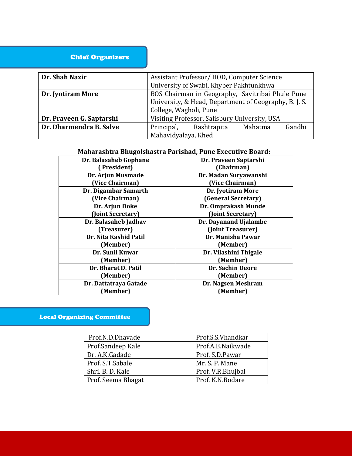#### Chief Organizers

| Dr. Shah Nazir           | Assistant Professor/HOD, Computer Science             |  |  |
|--------------------------|-------------------------------------------------------|--|--|
|                          | University of Swabi, Khyber Pakhtunkhwa               |  |  |
| Dr. Jyotiram More        | BOS Chairman in Geography, Savitribai Phule Pune      |  |  |
|                          | University, & Head, Department of Geography, B. J. S. |  |  |
|                          | College, Wagholi, Pune                                |  |  |
| Dr. Praveen G. Saptarshi | Visiting Professor, Salisbury University, USA         |  |  |
| Dr. Dharmendra B. Salve  | Gandhi<br>Principal,<br>Rashtrapita<br>Mahatma        |  |  |
|                          | Mahavidyalaya, Khed                                   |  |  |

#### **Maharashtra Bhugolshastra Parishad, Pune Executive Board:**

| Dr. Balasaheb Gophane | Dr. Praveen Saptarshi   |
|-----------------------|-------------------------|
| President)            | (Chairman)              |
| Dr. Arjun Musmade     | Dr. Madan Suryawanshi   |
| (Vice Chairman)       | (Vice Chairman)         |
| Dr. Digambar Samarth  | Dr. Jyotiram More       |
| (Vice Chairman)       | (General Secretary)     |
| Dr. Arjun Doke        | Dr. Omprakash Munde     |
| (Joint Secretary)     | (Joint Secretary)       |
| Dr. Balasaheb Jadhav  | Dr. Dayanand Ujalambe   |
| (Treasurer)           | (Joint Treasurer)       |
| Dr. Nita Kashid Patil | Dr. Manisha Pawar       |
| (Member)              | (Member)                |
| Dr. Sunil Kuwar       | Dr. Vilashini Thigale   |
| (Member)              | (Member)                |
| Dr. Bharat D. Patil   | <b>Dr. Sachin Deore</b> |
| (Member)              | (Member)                |
| Dr. Dattatraya Gatade | Dr. Nagsen Meshram      |
| (Member)              | (Member)                |
|                       |                         |

#### Local Organizing Committee

| Prof.N.D.Dhavade   | Prof.S.S.Vhandkar |
|--------------------|-------------------|
| Prof.Sandeep Kale  | Prof.A.B.Naikwade |
| Dr. A.K.Gadade     | Prof. S.D.Pawar   |
| Prof. S.T.Sabale   | Mr. S. P. Mane    |
| Shri. B. D. Kale   | Prof. V.R.Bhujbal |
| Prof. Seema Bhagat | Prof. K.N.Bodare  |